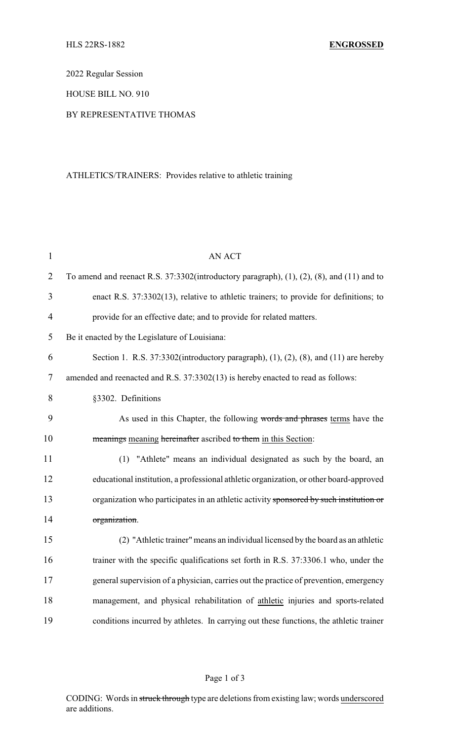2022 Regular Session

HOUSE BILL NO. 910

## BY REPRESENTATIVE THOMAS

## ATHLETICS/TRAINERS: Provides relative to athletic training

| $\mathbf{1}$   | <b>AN ACT</b>                                                                                |  |
|----------------|----------------------------------------------------------------------------------------------|--|
| $\overline{2}$ | To amend and reenact R.S. $37:3302$ (introductory paragraph), (1), (2), (8), and (11) and to |  |
| 3              | enact R.S. 37:3302(13), relative to athletic trainers; to provide for definitions; to        |  |
| $\overline{4}$ | provide for an effective date; and to provide for related matters.                           |  |
| 5              | Be it enacted by the Legislature of Louisiana:                                               |  |
| 6              | Section 1. R.S. $37:3302$ (introductory paragraph), (1), (2), (8), and (11) are hereby       |  |
| $\tau$         | amended and reenacted and R.S. 37:3302(13) is hereby enacted to read as follows:             |  |
| 8              | §3302. Definitions                                                                           |  |
| 9              | As used in this Chapter, the following words and phrases terms have the                      |  |
| 10             | meanings meaning hereinafter ascribed to them in this Section:                               |  |
| 11             | (1) "Athlete" means an individual designated as such by the board, an                        |  |
| 12             | educational institution, a professional athletic organization, or other board-approved       |  |
| 13             | organization who participates in an athletic activity sponsored by such institution or       |  |
| 14             | organization.                                                                                |  |
| 15             | (2) "Athletic trainer" means an individual licensed by the board as an athletic              |  |
| 16             | trainer with the specific qualifications set forth in R.S. 37:3306.1 who, under the          |  |
| 17             | general supervision of a physician, carries out the practice of prevention, emergency        |  |
| 18             | management, and physical rehabilitation of athletic injuries and sports-related              |  |
| 19             | conditions incurred by athletes. In carrying out these functions, the athletic trainer       |  |

## Page 1 of 3

CODING: Words in struck through type are deletions from existing law; words underscored are additions.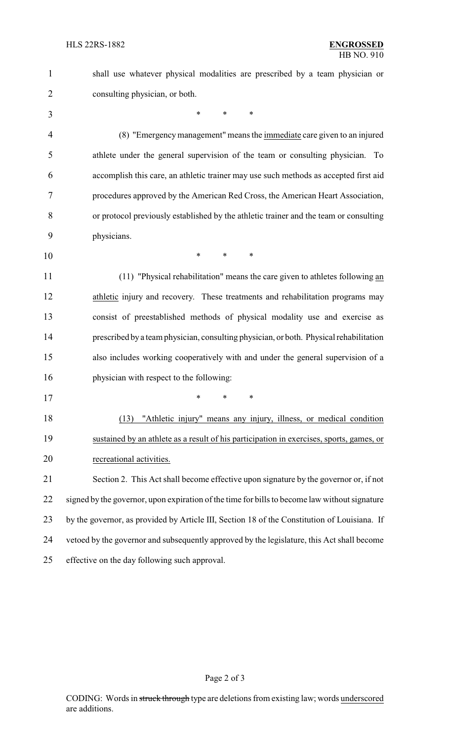consulting physician, or both.

\* \* \*

shall use whatever physical modalities are prescribed by a team physician or

 (8) "Emergencymanagement" means the immediate care given to an injured athlete under the general supervision of the team or consulting physician. To accomplish this care, an athletic trainer may use such methods as accepted first aid procedures approved by the American Red Cross, the American Heart Association, or protocol previously established by the athletic trainer and the team or consulting physicians.

\* \* \*

 (11) "Physical rehabilitation" means the care given to athletes following an 12 athletic injury and recovery. These treatments and rehabilitation programs may consist of preestablished methods of physical modality use and exercise as prescribed bya team physician, consulting physician, or both. Physical rehabilitation also includes working cooperatively with and under the general supervision of a physician with respect to the following:

\* \* \*

 (13) "Athletic injury" means any injury, illness, or medical condition sustained by an athlete as a result of his participation in exercises, sports, games, or recreational activities.

 Section 2. This Act shall become effective upon signature by the governor or, if not 22 signed by the governor, upon expiration of the time for bills to become law without signature by the governor, as provided by Article III, Section 18 of the Constitution of Louisiana. If vetoed by the governor and subsequently approved by the legislature, this Act shall become effective on the day following such approval.